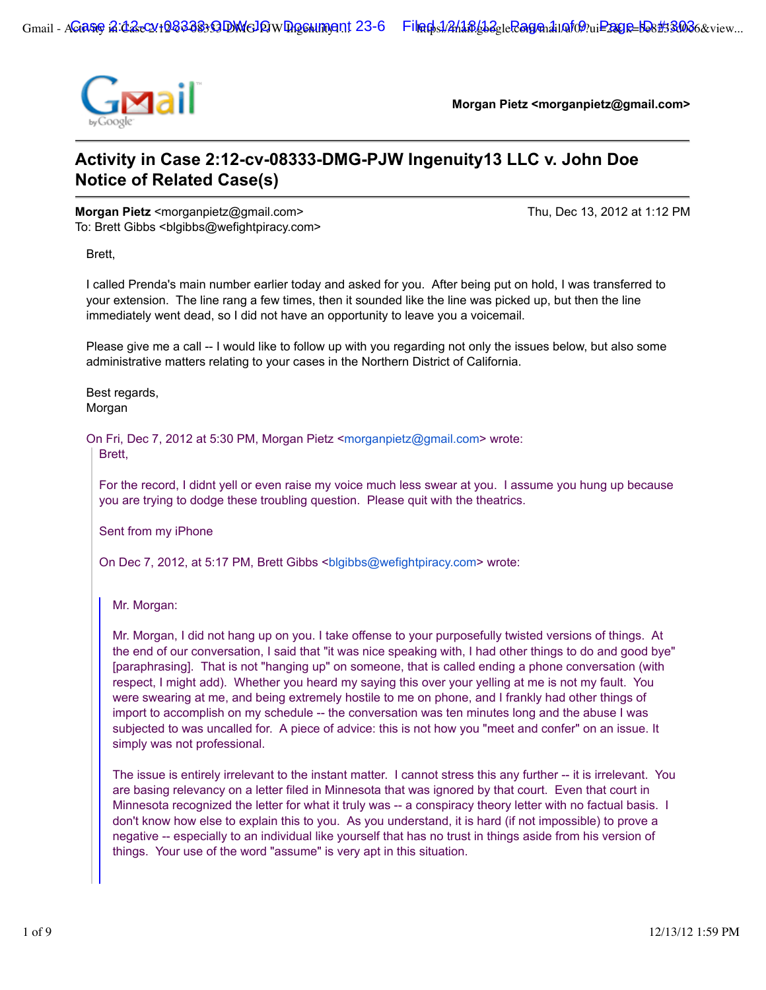

**Morgan Pietz <morganpietz@gmail.com>**

# **Activity in Case 2:12-cv-08333-DMG-PJW Ingenuity13 LLC v. John Doe Notice of Related Case(s)**

**Morgan Pietz** <morganpietz@gmail.com> Thu, Dec 13, 2012 at 1:12 PM To: Brett Gibbs <br/>blgibbs@wefightpiracy.com>

Brett,

I called Prenda's main number earlier today and asked for you. After being put on hold, I was transferred to your extension. The line rang a few times, then it sounded like the line was picked up, but then the line immediately went dead, so I did not have an opportunity to leave you a voicemail.

Please give me a call -- I would like to follow up with you regarding not only the issues below, but also some administrative matters relating to your cases in the Northern District of California.

Best regards, Morgan

On Fri, Dec 7, 2012 at 5:30 PM, Morgan Pietz <morganpietz@gmail.com> wrote:

Brett,

For the record, I didnt yell or even raise my voice much less swear at you. I assume you hung up because you are trying to dodge these troubling question. Please quit with the theatrics.

Sent from my iPhone

On Dec 7, 2012, at 5:17 PM, Brett Gibbs <blgibbs@wefightpiracy.com> wrote:

Mr. Morgan:

Mr. Morgan, I did not hang up on you. I take offense to your purposefully twisted versions of things. At the end of our conversation, I said that "it was nice speaking with, I had other things to do and good bye" [paraphrasing]. That is not "hanging up" on someone, that is called ending a phone conversation (with respect, I might add). Whether you heard my saying this over your yelling at me is not my fault. You were swearing at me, and being extremely hostile to me on phone, and I frankly had other things of import to accomplish on my schedule -- the conversation was ten minutes long and the abuse I was subjected to was uncalled for. A piece of advice: this is not how you "meet and confer" on an issue. It simply was not professional.

The issue is entirely irrelevant to the instant matter. I cannot stress this any further -- it is irrelevant. You are basing relevancy on a letter filed in Minnesota that was ignored by that court. Even that court in Minnesota recognized the letter for what it truly was -- a conspiracy theory letter with no factual basis. I don't know how else to explain this to you. As you understand, it is hard (if not impossible) to prove a negative -- especially to an individual like yourself that has no trust in things aside from his version of things. Your use of the word "assume" is very apt in this situation.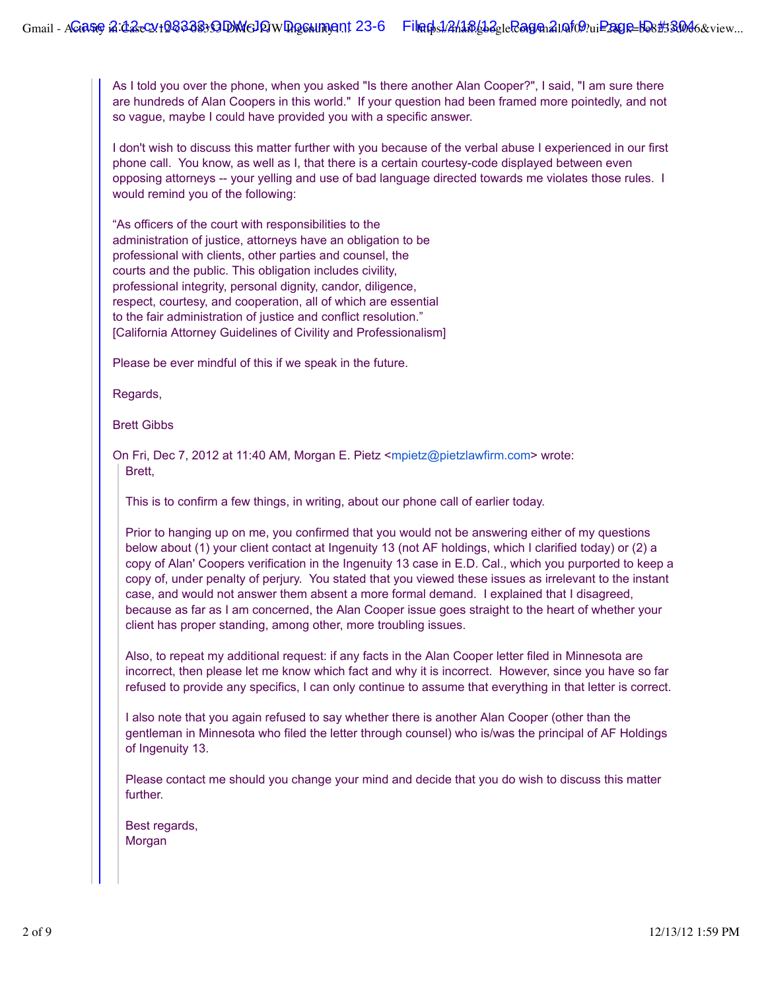As I told you over the phone, when you asked "Is there another Alan Cooper?", I said, "I am sure there are hundreds of Alan Coopers in this world." If your question had been framed more pointedly, and not so vague, maybe I could have provided you with a specific answer.

I don't wish to discuss this matter further with you because of the verbal abuse I experienced in our first phone call. You know, as well as I, that there is a certain courtesy-code displayed between even opposing attorneys -- your yelling and use of bad language directed towards me violates those rules. I would remind you of the following:

"As officers of the court with responsibilities to the administration of justice, attorneys have an obligation to be professional with clients, other parties and counsel, the courts and the public. This obligation includes civility, professional integrity, personal dignity, candor, diligence, respect, courtesy, and cooperation, all of which are essential to the fair administration of justice and conflict resolution." [California Attorney Guidelines of Civility and Professionalism]

Please be ever mindful of this if we speak in the future.

Regards,

Brett Gibbs

On Fri, Dec 7, 2012 at 11:40 AM, Morgan E. Pietz <mpietz@pietzlawfirm.com> wrote: Brett,

This is to confirm a few things, in writing, about our phone call of earlier today.

Prior to hanging up on me, you confirmed that you would not be answering either of my questions below about (1) your client contact at Ingenuity 13 (not AF holdings, which I clarified today) or (2) a copy of Alan' Coopers verification in the Ingenuity 13 case in E.D. Cal., which you purported to keep a copy of, under penalty of perjury. You stated that you viewed these issues as irrelevant to the instant case, and would not answer them absent a more formal demand. I explained that I disagreed, because as far as I am concerned, the Alan Cooper issue goes straight to the heart of whether your client has proper standing, among other, more troubling issues.

Also, to repeat my additional request: if any facts in the Alan Cooper letter filed in Minnesota are incorrect, then please let me know which fact and why it is incorrect. However, since you have so far refused to provide any specifics, I can only continue to assume that everything in that letter is correct.

I also note that you again refused to say whether there is another Alan Cooper (other than the gentleman in Minnesota who filed the letter through counsel) who is/was the principal of AF Holdings of Ingenuity 13.

Please contact me should you change your mind and decide that you do wish to discuss this matter further.

Best regards, Morgan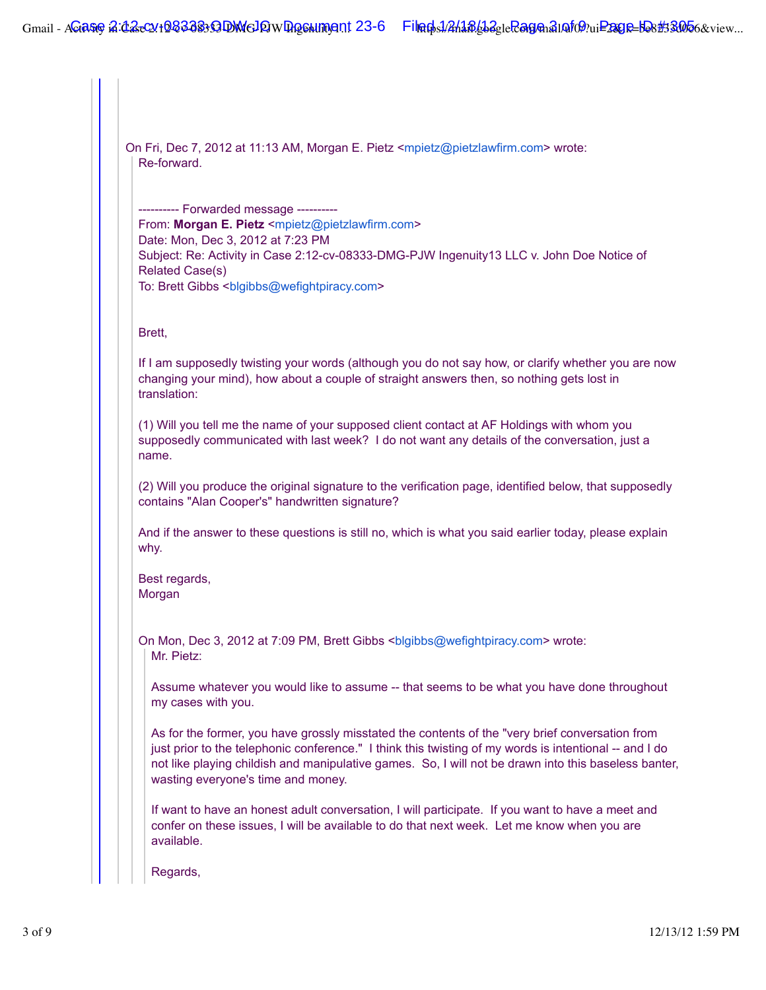On Fri, Dec 7, 2012 at 11:13 AM, Morgan E. Pietz <mpietz@pietzlawfirm.com> wrote: Re-forward. ---------- Forwarded message ---------- From: **Morgan E. Pietz** <mpietz@pietzlawfirm.com> Date: Mon, Dec 3, 2012 at 7:23 PM Subject: Re: Activity in Case 2:12-cv-08333-DMG-PJW Ingenuity13 LLC v. John Doe Notice of Related Case(s) To: Brett Gibbs <br/>sblgibbs@wefightpiracy.com> Brett, If I am supposedly twisting your words (although you do not say how, or clarify whether you are now changing your mind), how about a couple of straight answers then, so nothing gets lost in translation: (1) Will you tell me the name of your supposed client contact at AF Holdings with whom you supposedly communicated with last week? I do not want any details of the conversation, just a name. (2) Will you produce the original signature to the verification page, identified below, that supposedly contains "Alan Cooper's" handwritten signature? And if the answer to these questions is still no, which is what you said earlier today, please explain why. Best regards, Morgan On Mon, Dec 3, 2012 at 7:09 PM, Brett Gibbs <blgibbs@wefightpiracy.com> wrote: Mr. Pietz: Assume whatever you would like to assume -- that seems to be what you have done throughout my cases with you. As for the former, you have grossly misstated the contents of the "very brief conversation from just prior to the telephonic conference." I think this twisting of my words is intentional -- and I do not like playing childish and manipulative games. So, I will not be drawn into this baseless banter, wasting everyone's time and money. If want to have an honest adult conversation, I will participate. If you want to have a meet and confer on these issues, I will be available to do that next week. Let me know when you are available. Regards, 3 of 9 12/13/12 1:59 PM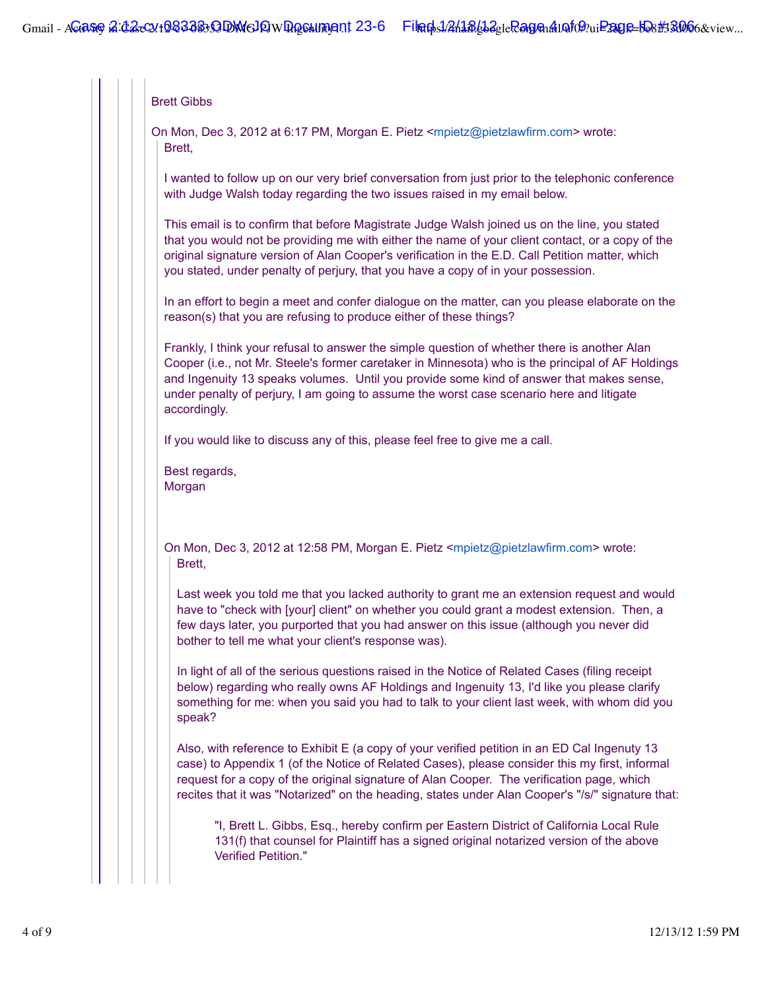### Brett Gibbs

On Mon, Dec 3, 2012 at 6:17 PM, Morgan E. Pietz <mpietz@pietzlawfirm.com> wrote: Brett,

I wanted to follow up on our very brief conversation from just prior to the telephonic conference with Judge Walsh today regarding the two issues raised in my email below.

This email is to confirm that before Magistrate Judge Walsh joined us on the line, you stated that you would not be providing me with either the name of your client contact, or a copy of the original signature version of Alan Cooper's verification in the E.D. Call Petition matter, which you stated, under penalty of perjury, that you have a copy of in your possession.

In an effort to begin a meet and confer dialogue on the matter, can you please elaborate on the reason(s) that you are refusing to produce either of these things?

Frankly, I think your refusal to answer the simple question of whether there is another Alan Cooper (i.e., not Mr. Steele's former caretaker in Minnesota) who is the principal of AF Holdings and Ingenuity 13 speaks volumes. Until you provide some kind of answer that makes sense, under penalty of perjury, I am going to assume the worst case scenario here and litigate accordingly.

If you would like to discuss any of this, please feel free to give me a call.

Best regards, Morgan

On Mon, Dec 3, 2012 at 12:58 PM, Morgan E. Pietz <mpietz@pietzlawfirm.com> wrote: Brett,

Last week you told me that you lacked authority to grant me an extension request and would have to "check with [your] client" on whether you could grant a modest extension. Then, a few days later, you purported that you had answer on this issue (although you never did bother to tell me what your client's response was).

In light of all of the serious questions raised in the Notice of Related Cases (filing receipt below) regarding who really owns AF Holdings and Ingenuity 13, I'd like you please clarify something for me: when you said you had to talk to your client last week, with whom did you speak?

Also, with reference to Exhibit E (a copy of your verified petition in an ED Cal Ingenuty 13 case) to Appendix 1 (of the Notice of Related Cases), please consider this my first, informal request for a copy of the original signature of Alan Cooper. The verification page, which recites that it was "Notarized" on the heading, states under Alan Cooper's "/s/" signature that:

"I, Brett L. Gibbs, Esq., hereby confirm per Eastern District of California Local Rule 131(f) that counsel for Plaintiff has a signed original notarized version of the above Verified Petition."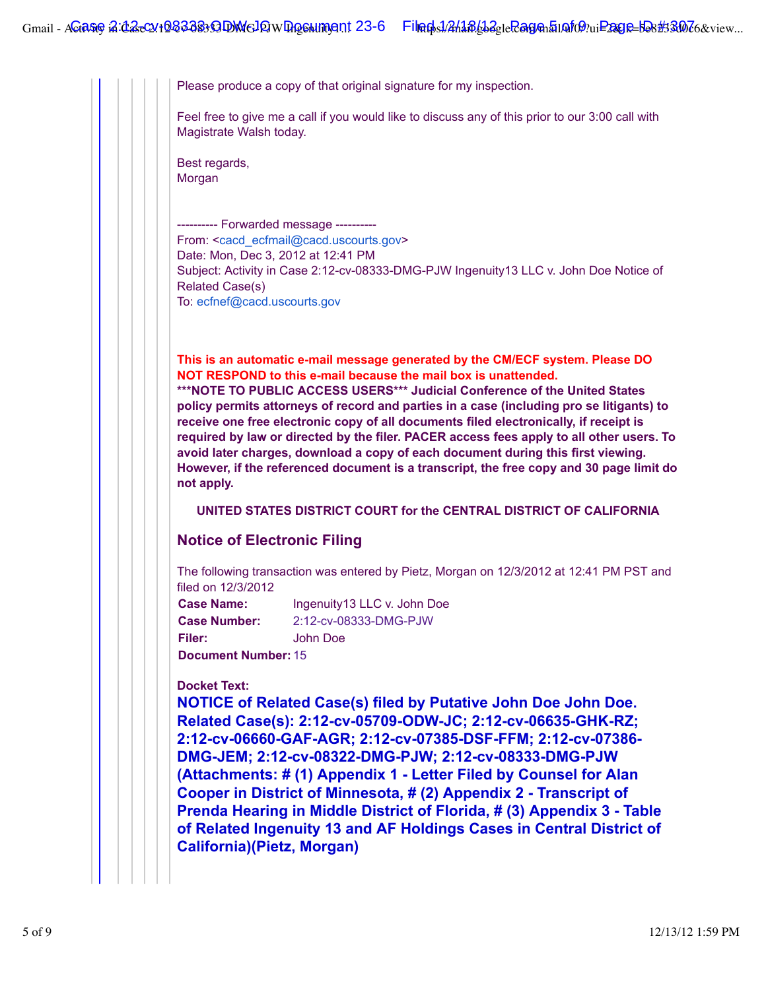Please produce a copy of that original signature for my inspection.

Feel free to give me a call if you would like to discuss any of this prior to our 3:00 call with Magistrate Walsh today.

Best regards, Morgan

---------- Forwarded message ---------- From: <cacd\_ecfmail@cacd.uscourts.gov> Date: Mon, Dec 3, 2012 at 12:41 PM Subject: Activity in Case 2:12-cv-08333-DMG-PJW Ingenuity13 LLC v. John Doe Notice of Related Case(s) To: ecfnef@cacd.uscourts.gov

**This is an automatic e-mail message generated by the CM/ECF system. Please DO NOT RESPOND to this e-mail because the mail box is unattended.**

**\*\*\*NOTE TO PUBLIC ACCESS USERS\*\*\* Judicial Conference of the United States policy permits attorneys of record and parties in a case (including pro se litigants) to receive one free electronic copy of all documents filed electronically, if receipt is required by law or directed by the filer. PACER access fees apply to all other users. To avoid later charges, download a copy of each document during this first viewing. However, if the referenced document is a transcript, the free copy and 30 page limit do not apply.**

**UNITED STATES DISTRICT COURT for the CENTRAL DISTRICT OF CALIFORNIA**

## **Notice of Electronic Filing**

The following transaction was entered by Pietz, Morgan on 12/3/2012 at 12:41 PM PST and filed on 12/3/2012

**Case Name:** Ingenuity13 LLC v. John Doe **Case Number:** 2:12-cv-08333-DMG-PJW **Filer:** John Doe

**Document Number:** 15

#### **Docket Text:**

**NOTICE of Related Case(s) filed by Putative John Doe John Doe. Related Case(s): 2:12-cv-05709-ODW-JC; 2:12-cv-06635-GHK-RZ; 2:12-cv-06660-GAF-AGR; 2:12-cv-07385-DSF-FFM; 2:12-cv-07386- DMG-JEM; 2:12-cv-08322-DMG-PJW; 2:12-cv-08333-DMG-PJW (Attachments: # (1) Appendix 1 - Letter Filed by Counsel for Alan Cooper in District of Minnesota, # (2) Appendix 2 - Transcript of Prenda Hearing in Middle District of Florida, # (3) Appendix 3 - Table of Related Ingenuity 13 and AF Holdings Cases in Central District of California)(Pietz, Morgan)**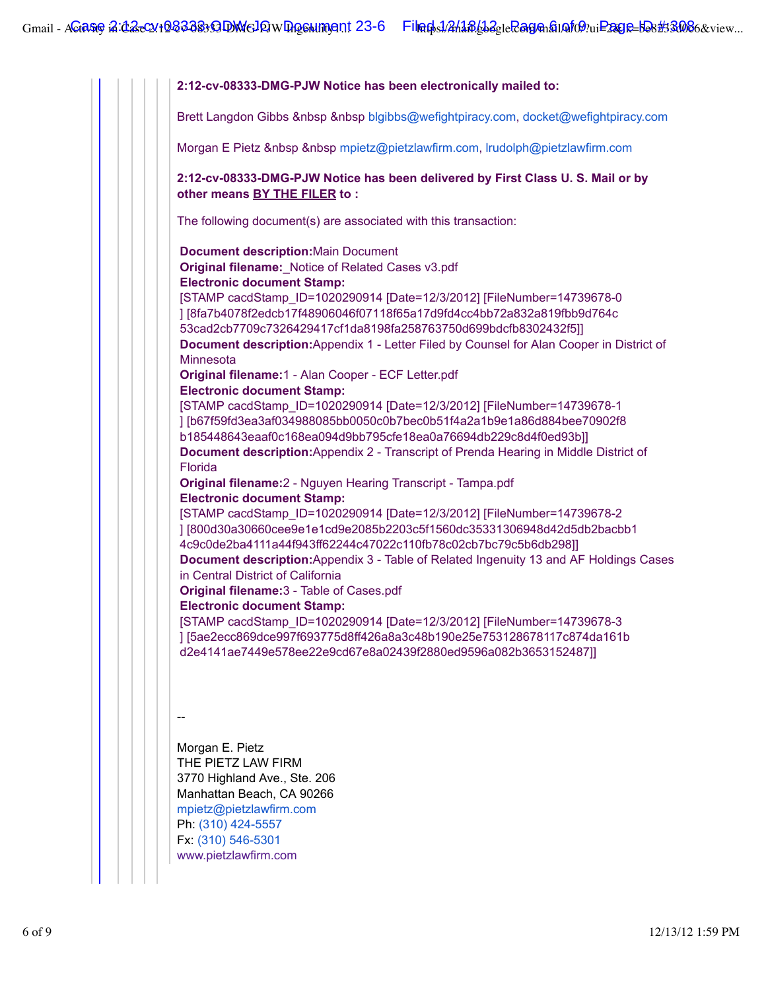**2:12-cv-08333-DMG-PJW Notice has been electronically mailed to:** Brett Langdon Gibbs &nbsp &nbsp blgibbs@wefightpiracy.com, docket@wefightpiracy.com Morgan E Pietz & nbsp & nbsp mpietz@pietzlawfirm.com, lrudolph@pietzlawfirm.com **2:12-cv-08333-DMG-PJW Notice has been delivered by First Class U. S. Mail or by other means BY THE FILER to :** The following document(s) are associated with this transaction: **Document description:**Main Document **Original filename:**\_Notice of Related Cases v3.pdf **Electronic document Stamp:** [STAMP cacdStamp\_ID=1020290914 [Date=12/3/2012] [FileNumber=14739678-0 ] [8fa7b4078f2edcb17f48906046f07118f65a17d9fd4cc4bb72a832a819fbb9d764c 53cad2cb7709c7326429417cf1da8198fa258763750d699bdcfb8302432f5]] **Document description:**Appendix 1 - Letter Filed by Counsel for Alan Cooper in District of **Minnesota Original filename:**1 - Alan Cooper - ECF Letter.pdf **Electronic document Stamp:** [STAMP cacdStamp\_ID=1020290914 [Date=12/3/2012] [FileNumber=14739678-1 ] [b67f59fd3ea3af034988085bb0050c0b7bec0b51f4a2a1b9e1a86d884bee70902f8 b185448643eaaf0c168ea094d9bb795cfe18ea0a76694db229c8d4f0ed93b]] **Document description:**Appendix 2 - Transcript of Prenda Hearing in Middle District of Florida **Original filename:**2 - Nguyen Hearing Transcript - Tampa.pdf **Electronic document Stamp:** [STAMP cacdStamp\_ID=1020290914 [Date=12/3/2012] [FileNumber=14739678-2 ] [800d30a30660cee9e1e1cd9e2085b2203c5f1560dc35331306948d42d5db2bacbb1 4c9c0de2ba4111a44f943ff62244c47022c110fb78c02cb7bc79c5b6db298]] **Document description:**Appendix 3 - Table of Related Ingenuity 13 and AF Holdings Cases in Central District of California **Original filename:**3 - Table of Cases.pdf **Electronic document Stamp:** [STAMP cacdStamp\_ID=1020290914 [Date=12/3/2012] [FileNumber=14739678-3 ] [5ae2ecc869dce997f693775d8ff426a8a3c48b190e25e753128678117c874da161b d2e4141ae7449e578ee22e9cd67e8a02439f2880ed9596a082b3653152487]] -- Morgan E. Pietz THE PIETZ LAW FIRM 3770 Highland Ave., Ste. 206 Manhattan Beach, CA 90266 mpietz@pietzlawfirm.com Ph: (310) 424-5557 Fx: (310) 546-5301 www.pietzlawfirm.com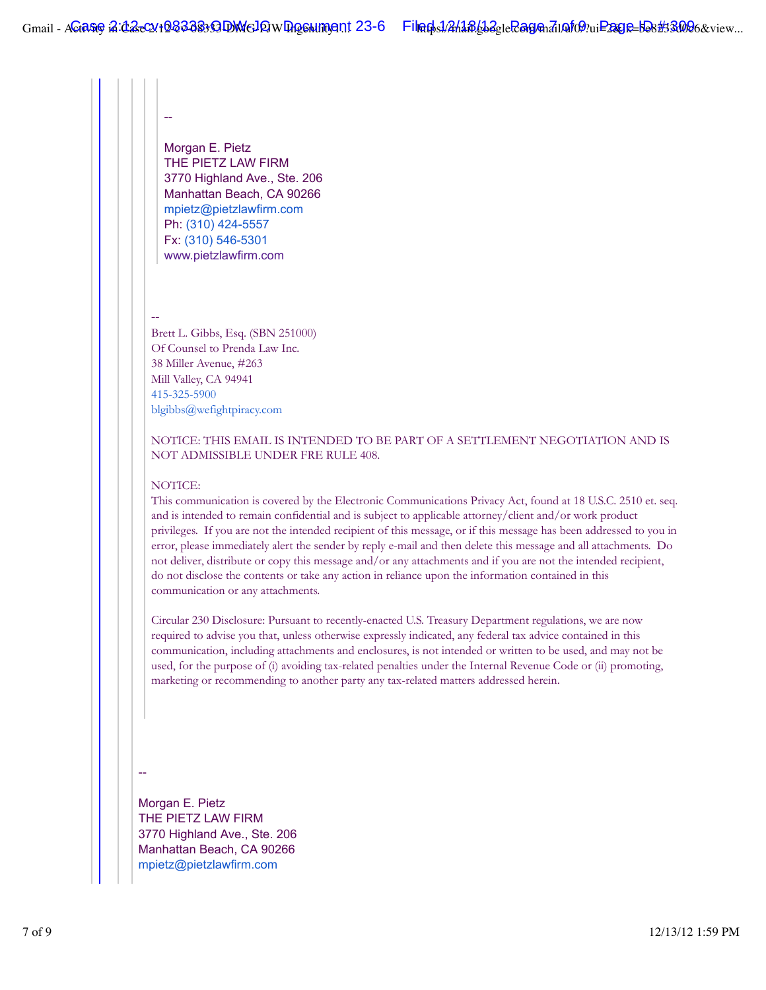Morgan E. Pietz THE PIETZ LAW FIRM 3770 Highland Ave., Ste. 206 Manhattan Beach, CA 90266 mpietz@pietzlawfirm.com Ph: (310) 424-5557 Fx: (310) 546-5301 www.pietzlawfirm.com

--

--

Brett L. Gibbs, Esq. (SBN 251000) Of Counsel to Prenda Law Inc. 38 Miller Avenue, #263 Mill Valley, CA 94941 415-325-5900 blgibbs@wefightpiracy.com

## NOTICE: THIS EMAIL IS INTENDED TO BE PART OF A SETTLEMENT NEGOTIATION AND IS NOT ADMISSIBLE UNDER FRE RULE 408.

#### NOTICE:

This communication is covered by the Electronic Communications Privacy Act, found at 18 U.S.C. 2510 et. seq. and is intended to remain confidential and is subject to applicable attorney/client and/or work product privileges. If you are not the intended recipient of this message, or if this message has been addressed to you in error, please immediately alert the sender by reply e-mail and then delete this message and all attachments. Do not deliver, distribute or copy this message and/or any attachments and if you are not the intended recipient, do not disclose the contents or take any action in reliance upon the information contained in this communication or any attachments.

Circular 230 Disclosure: Pursuant to recently-enacted U.S. Treasury Department regulations, we are now required to advise you that, unless otherwise expressly indicated, any federal tax advice contained in this communication, including attachments and enclosures, is not intended or written to be used, and may not be used, for the purpose of (i) avoiding tax-related penalties under the Internal Revenue Code or (ii) promoting, marketing or recommending to another party any tax-related matters addressed herein.

--

Morgan E. Pietz THE PIETZ LAW FIRM 3770 Highland Ave., Ste. 206 Manhattan Beach, CA 90266 mpietz@pietzlawfirm.com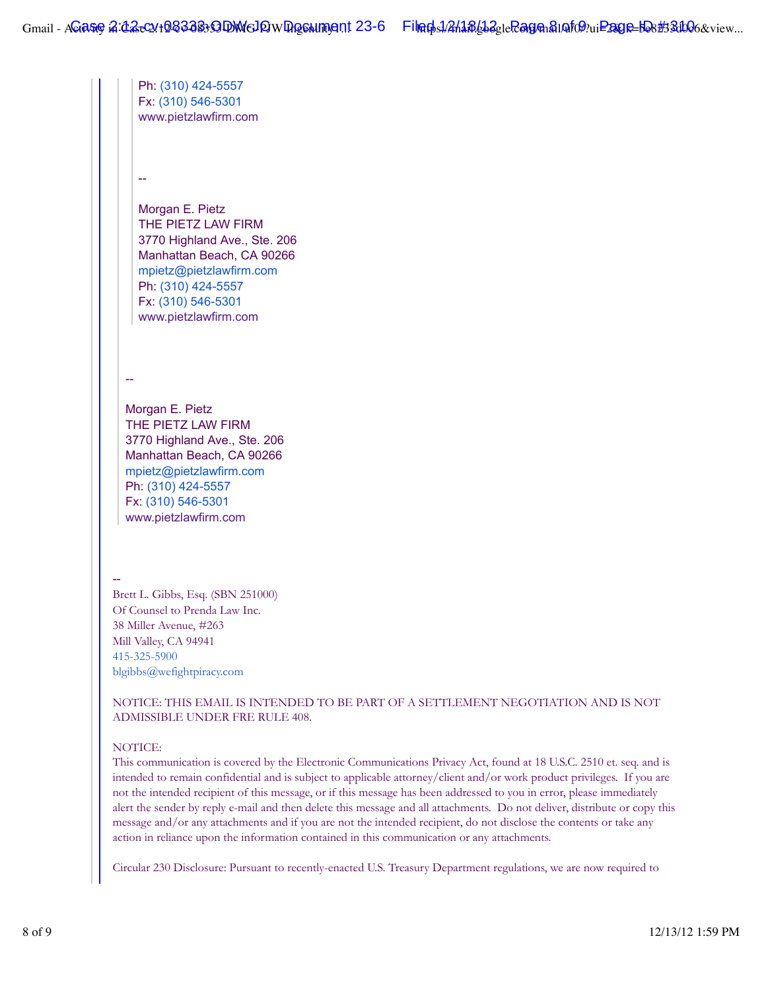Ph: (310) 424-5557 Fx: (310) 546-5301 www.pietzlawfirm.com -- Morgan E. Pietz THE PIETZ LAW FIRM 3770 Highland Ave., Ste. 206 Manhattan Beach, CA 90266 mpietz@pietzlawfirm.com Ph: (310) 424-5557 Fx: (310) 546-5301 www.pietzlawfirm.com -- Morgan E. Pietz THE PIETZ LAW FIRM 3770 Highland Ave., Ste. 206 Manhattan Beach, CA 90266 mpietz@pietzlawfirm.com Ph: (310) 424-5557 Fx: (310) 546-5301 www.pietzlawfirm.com Brett L. Gibbs, Esq. (SBN 251000) Of Counsel to Prenda Law Inc. 38 Miller Avenue, #263 Mill Valley, CA 94941 415-325-5900 blgibbs@wefightpiracy.com NOTICE: THIS EMAIL IS INTENDED TO BE PART OF A SETTLEMENT NEGOTIATION AND IS NOT

ADMISSIBLE UNDER FRE RULE 408.

## NOTICE:

--

This communication is covered by the Electronic Communications Privacy Act, found at 18 U.S.C. 2510 et. seq. and is intended to remain confidential and is subject to applicable attorney/client and/or work product privileges. If you are not the intended recipient of this message, or if this message has been addressed to you in error, please immediately alert the sender by reply e-mail and then delete this message and all attachments. Do not deliver, distribute or copy this message and/or any attachments and if you are not the intended recipient, do not disclose the contents or take any action in reliance upon the information contained in this communication or any attachments.

Circular 230 Disclosure: Pursuant to recently-enacted U.S. Treasury Department regulations, we are now required to